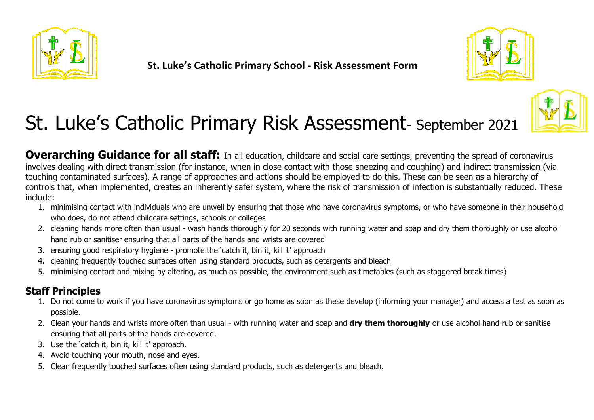





**Overarching Guidance for all staff:** In all education, childcare and social care settings, preventing the spread of coronavirus involves dealing with direct transmission (for instance, when in close contact with those sneezing and coughing) and indirect transmission (via touching contaminated surfaces). A range of approaches and actions should be employed to do this. These can be seen as a hierarchy of controls that, when implemented, creates an inherently safer system, where the risk of transmission of infection is substantially reduced. These include:

- 1. minimising contact with individuals who are unwell by ensuring that those who have coronavirus symptoms, or who have someone in their household who does, do not attend childcare settings, schools or colleges
- 2. cleaning hands more often than usual wash hands thoroughly for 20 seconds with running water and soap and dry them thoroughly or use alcohol hand rub or sanitiser ensuring that all parts of the hands and wrists are covered
- 3. ensuring good respiratory hygiene promote the 'catch it, bin it, kill it' approach
- 4. cleaning frequently touched surfaces often using standard products, such as detergents and bleach
- 5. minimising contact and mixing by altering, as much as possible, the environment such as timetables (such as staggered break times)

### **Staff Principles**

- 1. Do not come to work if you have coronavirus symptoms or go home as soon as these develop (informing your manager) and access a test as soon as possible.
- 2. Clean your hands and wrists more often than usual with running water and soap and **dry them thoroughly** or use alcohol hand rub or sanitise ensuring that all parts of the hands are covered.
- 3. Use the 'catch it, bin it, kill it' approach.
- 4. Avoid touching your mouth, nose and eyes.
- 5. Clean frequently touched surfaces often using standard products, such as detergents and bleach.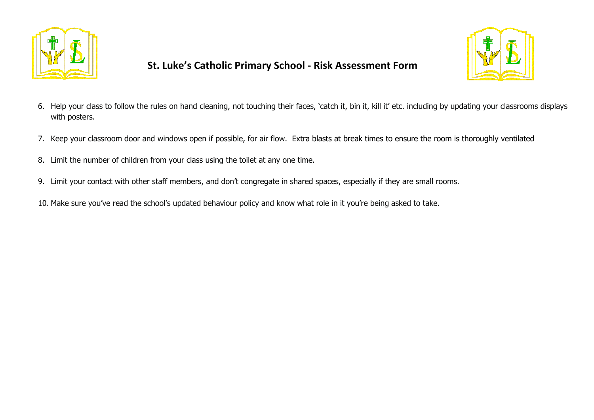



- 6. Help your class to follow the rules on hand cleaning, not touching their faces, 'catch it, bin it, kill it' etc. including by updating your classrooms displays with posters.
- 7. Keep your classroom door and windows open if possible, for air flow. Extra blasts at break times to ensure the room is thoroughly ventilated
- 8. Limit the number of children from your class using the toilet at any one time.
- 9. Limit your contact with other staff members, and don't congregate in shared spaces, especially if they are small rooms.
- 10. Make sure you've read the school's updated behaviour policy and know what role in it you're being asked to take.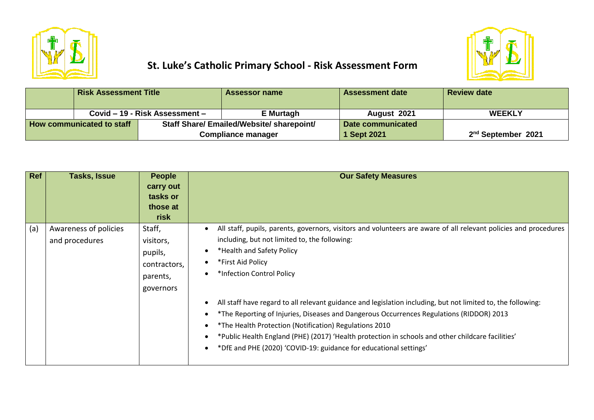



|                           | <b>Risk Assessment Title</b> |                                                  | <b>Assessor name</b> | <b>Assessment date</b>         | <b>Review date</b> |
|---------------------------|------------------------------|--------------------------------------------------|----------------------|--------------------------------|--------------------|
|                           |                              | Covid – 19 - Risk Assessment –                   | E Murtagh            | August 2021                    | <b>WEEKLY</b>      |
| How communicated to staff |                              | <b>Staff Share/ Emailed/Website/ sharepoint/</b> |                      | Date communicated              |                    |
|                           |                              | <b>Compliance manager</b>                        | <b>Sept 2021</b>     | 2 <sup>nd</sup> September 2021 |                    |

| Ref | Tasks, Issue                            | <b>People</b><br>carry out<br>tasks or<br>those at<br>risk              | <b>Our Safety Measures</b>                                                                                                                                                                                                                                                                                                                                                                                                                                                                                                                                                                                                                                                                       |
|-----|-----------------------------------------|-------------------------------------------------------------------------|--------------------------------------------------------------------------------------------------------------------------------------------------------------------------------------------------------------------------------------------------------------------------------------------------------------------------------------------------------------------------------------------------------------------------------------------------------------------------------------------------------------------------------------------------------------------------------------------------------------------------------------------------------------------------------------------------|
| (a) | Awareness of policies<br>and procedures | Staff,<br>visitors,<br>pupils,<br>contractors,<br>parents,<br>governors | All staff, pupils, parents, governors, visitors and volunteers are aware of all relevant policies and procedures<br>including, but not limited to, the following:<br>*Health and Safety Policy<br>*First Aid Policy<br>*Infection Control Policy<br>All staff have regard to all relevant guidance and legislation including, but not limited to, the following:<br>*The Reporting of Injuries, Diseases and Dangerous Occurrences Regulations (RIDDOR) 2013<br>*The Health Protection (Notification) Regulations 2010<br>*Public Health England (PHE) (2017) 'Health protection in schools and other childcare facilities'<br>*DfE and PHE (2020) 'COVID-19: guidance for educational settings' |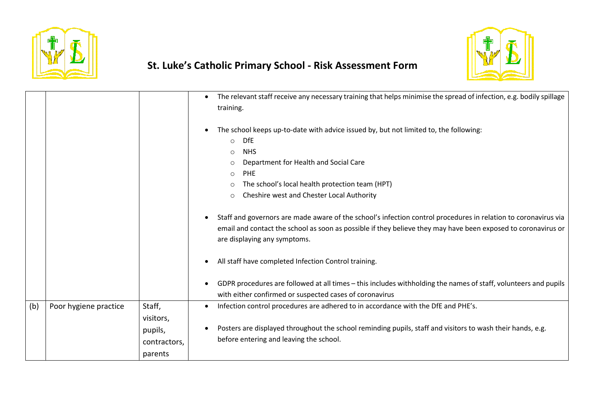



|     |                       |                                    | The relevant staff receive any necessary training that helps minimise the spread of infection, e.g. bodily spillage<br>training.                                                                                                                                                                                     |
|-----|-----------------------|------------------------------------|----------------------------------------------------------------------------------------------------------------------------------------------------------------------------------------------------------------------------------------------------------------------------------------------------------------------|
|     |                       |                                    | The school keeps up-to-date with advice issued by, but not limited to, the following:<br><b>DfE</b><br>$\circ$<br><b>NHS</b><br>$\circ$<br>Department for Health and Social Care<br><b>PHE</b><br>$\circ$<br>The school's local health protection team (HPT)<br>Cheshire west and Chester Local Authority<br>$\circ$ |
|     |                       |                                    | Staff and governors are made aware of the school's infection control procedures in relation to coronavirus via<br>email and contact the school as soon as possible if they believe they may have been exposed to coronavirus or<br>are displaying any symptoms.                                                      |
|     |                       |                                    | All staff have completed Infection Control training.                                                                                                                                                                                                                                                                 |
|     |                       |                                    | GDPR procedures are followed at all times - this includes withholding the names of staff, volunteers and pupils<br>with either confirmed or suspected cases of coronavirus                                                                                                                                           |
| (b) | Poor hygiene practice | Staff,<br>visitors,                | Infection control procedures are adhered to in accordance with the DfE and PHE's.                                                                                                                                                                                                                                    |
|     |                       | pupils,<br>contractors,<br>parents | Posters are displayed throughout the school reminding pupils, staff and visitors to wash their hands, e.g.<br>before entering and leaving the school.                                                                                                                                                                |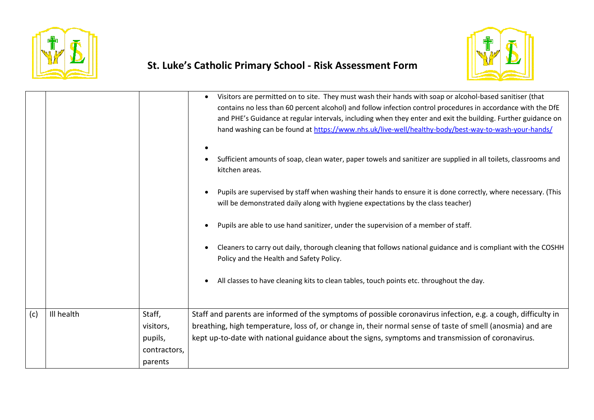



|     |            |              | Visitors are permitted on to site. They must wash their hands with soap or alcohol-based sanitiser (that<br>contains no less than 60 percent alcohol) and follow infection control procedures in accordance with the DfE<br>and PHE's Guidance at regular intervals, including when they enter and exit the building. Further guidance on<br>hand washing can be found at https://www.nhs.uk/live-well/healthy-body/best-way-to-wash-your-hands/<br>Sufficient amounts of soap, clean water, paper towels and sanitizer are supplied in all toilets, classrooms and<br>kitchen areas.<br>Pupils are supervised by staff when washing their hands to ensure it is done correctly, where necessary. (This<br>will be demonstrated daily along with hygiene expectations by the class teacher)<br>Pupils are able to use hand sanitizer, under the supervision of a member of staff.<br>Cleaners to carry out daily, thorough cleaning that follows national guidance and is compliant with the COSHH<br>Policy and the Health and Safety Policy.<br>All classes to have cleaning kits to clean tables, touch points etc. throughout the day. |
|-----|------------|--------------|--------------------------------------------------------------------------------------------------------------------------------------------------------------------------------------------------------------------------------------------------------------------------------------------------------------------------------------------------------------------------------------------------------------------------------------------------------------------------------------------------------------------------------------------------------------------------------------------------------------------------------------------------------------------------------------------------------------------------------------------------------------------------------------------------------------------------------------------------------------------------------------------------------------------------------------------------------------------------------------------------------------------------------------------------------------------------------------------------------------------------------------------|
| (c) | Ill health | Staff,       | Staff and parents are informed of the symptoms of possible coronavirus infection, e.g. a cough, difficulty in                                                                                                                                                                                                                                                                                                                                                                                                                                                                                                                                                                                                                                                                                                                                                                                                                                                                                                                                                                                                                              |
|     |            | visitors,    | breathing, high temperature, loss of, or change in, their normal sense of taste of smell (anosmia) and are                                                                                                                                                                                                                                                                                                                                                                                                                                                                                                                                                                                                                                                                                                                                                                                                                                                                                                                                                                                                                                 |
|     |            | pupils,      | kept up-to-date with national guidance about the signs, symptoms and transmission of coronavirus.                                                                                                                                                                                                                                                                                                                                                                                                                                                                                                                                                                                                                                                                                                                                                                                                                                                                                                                                                                                                                                          |
|     |            | contractors, |                                                                                                                                                                                                                                                                                                                                                                                                                                                                                                                                                                                                                                                                                                                                                                                                                                                                                                                                                                                                                                                                                                                                            |
|     |            | parents      |                                                                                                                                                                                                                                                                                                                                                                                                                                                                                                                                                                                                                                                                                                                                                                                                                                                                                                                                                                                                                                                                                                                                            |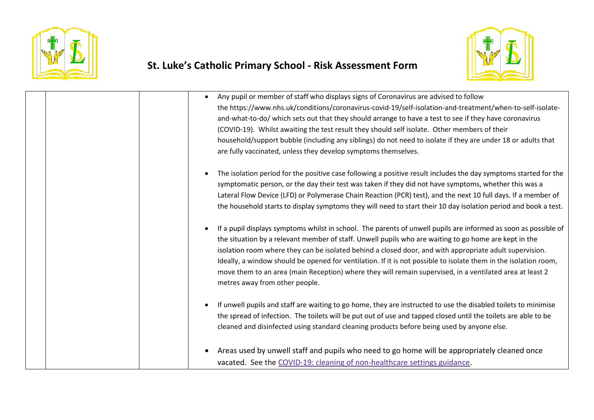



| Any pupil or member of staff who displays signs of Coronavirus are advised to follow<br>$\bullet$<br>the https://www.nhs.uk/conditions/coronavirus-covid-19/self-isolation-and-treatment/when-to-self-isolate-<br>and-what-to-do/ which sets out that they should arrange to have a test to see if they have coronavirus<br>(COVID-19). Whilst awaiting the test result they should self isolate. Other members of their<br>household/support bubble (including any siblings) do not need to isolate if they are under 18 or adults that<br>are fully vaccinated, unless they develop symptoms themselves.         |
|--------------------------------------------------------------------------------------------------------------------------------------------------------------------------------------------------------------------------------------------------------------------------------------------------------------------------------------------------------------------------------------------------------------------------------------------------------------------------------------------------------------------------------------------------------------------------------------------------------------------|
| The isolation period for the positive case following a positive result includes the day symptoms started for the<br>$\bullet$<br>symptomatic person, or the day their test was taken if they did not have symptoms, whether this was a<br>Lateral Flow Device (LFD) or Polymerase Chain Reaction (PCR) test), and the next 10 full days. If a member of<br>the household starts to display symptoms they will need to start their 10 day isolation period and book a test.                                                                                                                                         |
| If a pupil displays symptoms whilst in school. The parents of unwell pupils are informed as soon as possible of<br>$\bullet$<br>the situation by a relevant member of staff. Unwell pupils who are waiting to go home are kept in the<br>isolation room where they can be isolated behind a closed door, and with appropriate adult supervision.<br>Ideally, a window should be opened for ventilation. If it is not possible to isolate them in the isolation room,<br>move them to an area (main Reception) where they will remain supervised, in a ventilated area at least 2<br>metres away from other people. |
| If unwell pupils and staff are waiting to go home, they are instructed to use the disabled toilets to minimise<br>$\bullet$<br>the spread of infection. The toilets will be put out of use and tapped closed until the toilets are able to be<br>cleaned and disinfected using standard cleaning products before being used by anyone else.                                                                                                                                                                                                                                                                        |
| Areas used by unwell staff and pupils who need to go home will be appropriately cleaned once<br>$\bullet$<br>vacated. See the COVID-19: cleaning of non-healthcare settings guidance.                                                                                                                                                                                                                                                                                                                                                                                                                              |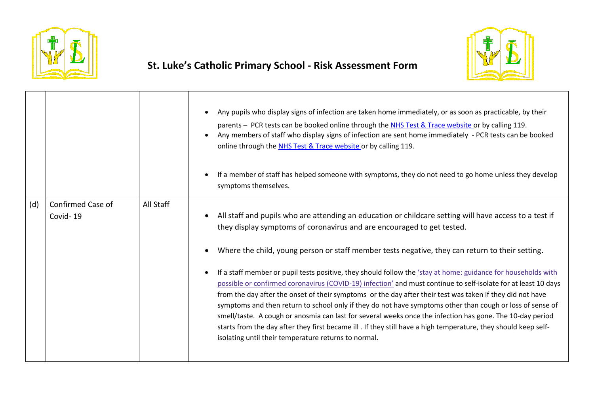



|     |                               |           | Any pupils who display signs of infection are taken home immediately, or as soon as practicable, by their<br>parents - PCR tests can be booked online through the NHS Test & Trace website or by calling 119.<br>Any members of staff who display signs of infection are sent home immediately - PCR tests can be booked<br>online through the NHS Test & Trace website or by calling 119.<br>If a member of staff has helped someone with symptoms, they do not need to go home unless they develop<br>symptoms themselves.                                                                                                                                                                                                                                                                                                                                                                                                                                                                                                             |
|-----|-------------------------------|-----------|------------------------------------------------------------------------------------------------------------------------------------------------------------------------------------------------------------------------------------------------------------------------------------------------------------------------------------------------------------------------------------------------------------------------------------------------------------------------------------------------------------------------------------------------------------------------------------------------------------------------------------------------------------------------------------------------------------------------------------------------------------------------------------------------------------------------------------------------------------------------------------------------------------------------------------------------------------------------------------------------------------------------------------------|
| (d) | Confirmed Case of<br>Covid-19 | All Staff | All staff and pupils who are attending an education or childcare setting will have access to a test if<br>they display symptoms of coronavirus and are encouraged to get tested.<br>Where the child, young person or staff member tests negative, they can return to their setting.<br>If a staff member or pupil tests positive, they should follow the 'stay at home: guidance for households with<br>possible or confirmed coronavirus (COVID-19) infection' and must continue to self-isolate for at least 10 days<br>from the day after the onset of their symptoms or the day after their test was taken if they did not have<br>symptoms and then return to school only if they do not have symptoms other than cough or loss of sense of<br>smell/taste. A cough or anosmia can last for several weeks once the infection has gone. The 10-day period<br>starts from the day after they first became ill . If they still have a high temperature, they should keep self-<br>isolating until their temperature returns to normal. |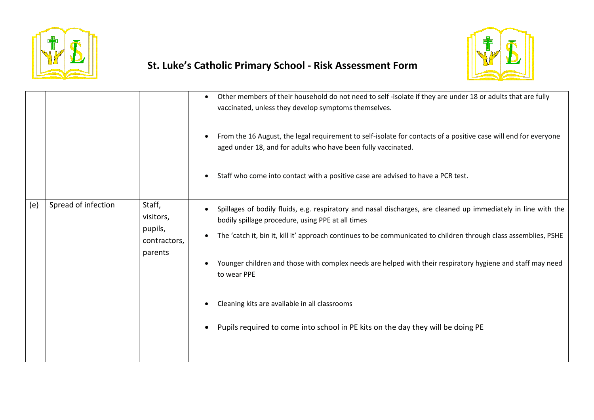



|     |                     |                                                           | Other members of their household do not need to self-isolate if they are under 18 or adults that are fully<br>$\bullet$<br>vaccinated, unless they develop symptoms themselves.<br>From the 16 August, the legal requirement to self-isolate for contacts of a positive case will end for everyone<br>aged under 18, and for adults who have been fully vaccinated.<br>Staff who come into contact with a positive case are advised to have a PCR test.                                                                                                  |
|-----|---------------------|-----------------------------------------------------------|----------------------------------------------------------------------------------------------------------------------------------------------------------------------------------------------------------------------------------------------------------------------------------------------------------------------------------------------------------------------------------------------------------------------------------------------------------------------------------------------------------------------------------------------------------|
| (e) | Spread of infection | Staff,<br>visitors,<br>pupils,<br>contractors,<br>parents | Spillages of bodily fluids, e.g. respiratory and nasal discharges, are cleaned up immediately in line with the<br>bodily spillage procedure, using PPE at all times<br>The 'catch it, bin it, kill it' approach continues to be communicated to children through class assemblies, PSHE<br>Younger children and those with complex needs are helped with their respiratory hygiene and staff may need<br>to wear PPE<br>Cleaning kits are available in all classrooms<br>Pupils required to come into school in PE kits on the day they will be doing PE |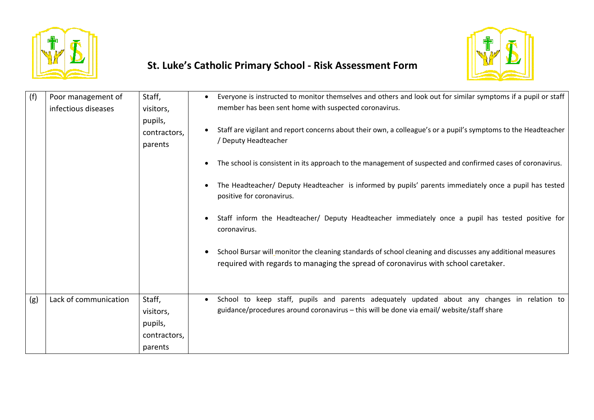



| (f) | Poor management of    | Staff,                             | Everyone is instructed to monitor themselves and others and look out for similar symptoms if a pupil or staff                                                                                    |
|-----|-----------------------|------------------------------------|--------------------------------------------------------------------------------------------------------------------------------------------------------------------------------------------------|
|     | infectious diseases   | visitors,                          | member has been sent home with suspected coronavirus.                                                                                                                                            |
|     |                       | pupils,<br>contractors,<br>parents | Staff are vigilant and report concerns about their own, a colleague's or a pupil's symptoms to the Headteacher<br>Deputy Headteacher                                                             |
|     |                       |                                    | The school is consistent in its approach to the management of suspected and confirmed cases of coronavirus.<br>$\bullet$                                                                         |
|     |                       |                                    | The Headteacher/ Deputy Headteacher is informed by pupils' parents immediately once a pupil has tested<br>positive for coronavirus.                                                              |
|     |                       |                                    | Staff inform the Headteacher/ Deputy Headteacher immediately once a pupil has tested positive for<br>coronavirus.                                                                                |
|     |                       |                                    | School Bursar will monitor the cleaning standards of school cleaning and discusses any additional measures<br>required with regards to managing the spread of coronavirus with school caretaker. |
| (g) | Lack of communication | Staff,                             | School to keep staff, pupils and parents adequately updated about any changes in relation to                                                                                                     |
|     |                       | visitors,                          | guidance/procedures around coronavirus - this will be done via email/ website/staff share                                                                                                        |
|     |                       | pupils,                            |                                                                                                                                                                                                  |
|     |                       | contractors,                       |                                                                                                                                                                                                  |
|     |                       | parents                            |                                                                                                                                                                                                  |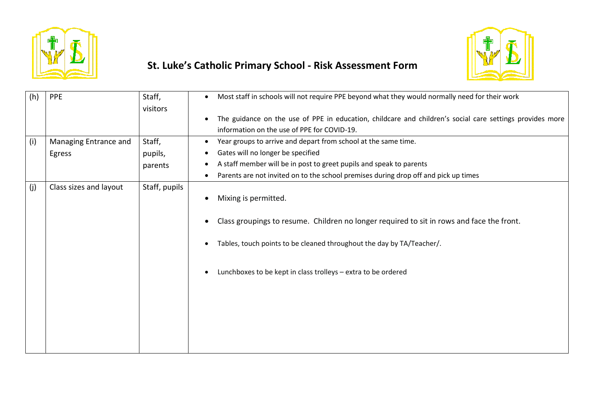



| (h) | PPE                    | Staff,        | Most staff in schools will not require PPE beyond what they would normally need for their work<br>$\bullet$ |
|-----|------------------------|---------------|-------------------------------------------------------------------------------------------------------------|
|     |                        | visitors      |                                                                                                             |
|     |                        |               | The guidance on the use of PPE in education, childcare and children's social care settings provides more    |
|     |                        |               | information on the use of PPE for COVID-19.                                                                 |
| (i) | Managing Entrance and  | Staff,        | Year groups to arrive and depart from school at the same time.<br>$\bullet$                                 |
|     | Egress                 | pupils,       | Gates will no longer be specified                                                                           |
|     |                        | parents       | A staff member will be in post to greet pupils and speak to parents                                         |
|     |                        |               | Parents are not invited on to the school premises during drop off and pick up times                         |
| (j) | Class sizes and layout | Staff, pupils |                                                                                                             |
|     |                        |               | Mixing is permitted.                                                                                        |
|     |                        |               |                                                                                                             |
|     |                        |               | Class groupings to resume. Children no longer required to sit in rows and face the front.                   |
|     |                        |               |                                                                                                             |
|     |                        |               | Tables, touch points to be cleaned throughout the day by TA/Teacher/.                                       |
|     |                        |               |                                                                                                             |
|     |                        |               | Lunchboxes to be kept in class trolleys - extra to be ordered                                               |
|     |                        |               |                                                                                                             |
|     |                        |               |                                                                                                             |
|     |                        |               |                                                                                                             |
|     |                        |               |                                                                                                             |
|     |                        |               |                                                                                                             |
|     |                        |               |                                                                                                             |
|     |                        |               |                                                                                                             |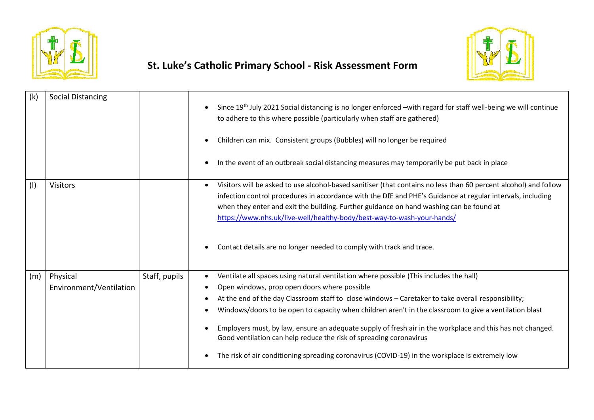



| (k) | Social Distancing                   |               | Since 19 <sup>th</sup> July 2021 Social distancing is no longer enforced -with regard for staff well-being we will continue<br>to adhere to this where possible (particularly when staff are gathered)                                                                                                                                                                                                                                                                                   |
|-----|-------------------------------------|---------------|------------------------------------------------------------------------------------------------------------------------------------------------------------------------------------------------------------------------------------------------------------------------------------------------------------------------------------------------------------------------------------------------------------------------------------------------------------------------------------------|
|     |                                     |               | Children can mix. Consistent groups (Bubbles) will no longer be required                                                                                                                                                                                                                                                                                                                                                                                                                 |
|     |                                     |               | In the event of an outbreak social distancing measures may temporarily be put back in place                                                                                                                                                                                                                                                                                                                                                                                              |
| (1) | <b>Visitors</b>                     |               | Visitors will be asked to use alcohol-based sanitiser (that contains no less than 60 percent alcohol) and follow<br>$\bullet$<br>infection control procedures in accordance with the DfE and PHE's Guidance at regular intervals, including<br>when they enter and exit the building. Further guidance on hand washing can be found at<br>https://www.nhs.uk/live-well/healthy-body/best-way-to-wash-your-hands/<br>Contact details are no longer needed to comply with track and trace. |
| (m) | Physical<br>Environment/Ventilation | Staff, pupils | Ventilate all spaces using natural ventilation where possible (This includes the hall)<br>Open windows, prop open doors where possible<br>At the end of the day Classroom staff to close windows - Caretaker to take overall responsibility;<br>Windows/doors to be open to capacity when children aren't in the classroom to give a ventilation blast<br>Employers must, by law, ensure an adequate supply of fresh air in the workplace and this has not changed.                      |
|     |                                     |               | Good ventilation can help reduce the risk of spreading coronavirus<br>The risk of air conditioning spreading coronavirus (COVID-19) in the workplace is extremely low                                                                                                                                                                                                                                                                                                                    |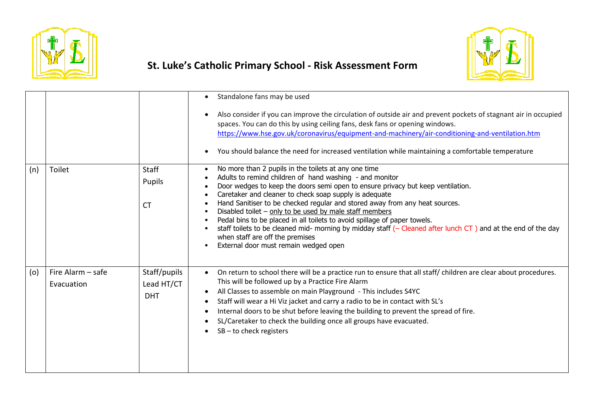



|     |                                 |                                          | Standalone fans may be used<br>Also consider if you can improve the circulation of outside air and prevent pockets of stagnant air in occupied<br>spaces. You can do this by using ceiling fans, desk fans or opening windows.<br>https://www.hse.gov.uk/coronavirus/equipment-and-machinery/air-conditioning-and-ventilation.htm<br>You should balance the need for increased ventilation while maintaining a comfortable temperature<br>$\bullet$                                                                                                                                                                                                                              |
|-----|---------------------------------|------------------------------------------|----------------------------------------------------------------------------------------------------------------------------------------------------------------------------------------------------------------------------------------------------------------------------------------------------------------------------------------------------------------------------------------------------------------------------------------------------------------------------------------------------------------------------------------------------------------------------------------------------------------------------------------------------------------------------------|
| (n) | Toilet                          | Staff<br>Pupils<br><b>CT</b>             | No more than 2 pupils in the toilets at any one time<br>Adults to remind children of hand washing - and monitor<br>Door wedges to keep the doors semi open to ensure privacy but keep ventilation.<br>Caretaker and cleaner to check soap supply is adequate<br>Hand Sanitiser to be checked regular and stored away from any heat sources.<br>Disabled toilet - only to be used by male staff members<br>Pedal bins to be placed in all toilets to avoid spillage of paper towels.<br>staff toilets to be cleaned mid- morning by midday staff (- Cleaned after lunch CT) and at the end of the day<br>when staff are off the premises<br>External door must remain wedged open |
| (o) | Fire Alarm - safe<br>Evacuation | Staff/pupils<br>Lead HT/CT<br><b>DHT</b> | On return to school there will be a practice run to ensure that all staff/ children are clear about procedures.<br>This will be followed up by a Practice Fire Alarm<br>All Classes to assemble on main Playground - This includes S4YC<br>Staff will wear a Hi Viz jacket and carry a radio to be in contact with SL's<br>$\bullet$<br>Internal doors to be shut before leaving the building to prevent the spread of fire.<br>SL/Caretaker to check the building once all groups have evacuated.<br>$SB$ – to check registers                                                                                                                                                  |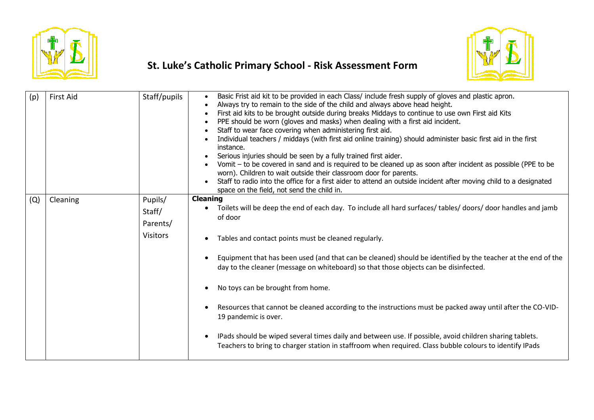



| <b>First Aid</b> | Staff/pupils    | Basic Frist aid kit to be provided in each Class/ include fresh supply of gloves and plastic apron.<br>Always try to remain to the side of the child and always above head height.<br>First aid kits to be brought outside during breaks Middays to continue to use own First aid Kits<br>PPE should be worn (gloves and masks) when dealing with a first aid incident.<br>Staff to wear face covering when administering first aid.<br>Individual teachers / middays (with first aid online training) should administer basic first aid in the first<br>instance.<br>Serious injuries should be seen by a fully trained first aider.<br>Vomit - to be covered in sand and is required to be cleaned up as soon after incident as possible (PPE to be<br>worn). Children to wait outside their classroom door for parents.<br>Staff to radio into the office for a first aider to attend an outside incident after moving child to a designated<br>space on the field, not send the child in. |
|------------------|-----------------|-----------------------------------------------------------------------------------------------------------------------------------------------------------------------------------------------------------------------------------------------------------------------------------------------------------------------------------------------------------------------------------------------------------------------------------------------------------------------------------------------------------------------------------------------------------------------------------------------------------------------------------------------------------------------------------------------------------------------------------------------------------------------------------------------------------------------------------------------------------------------------------------------------------------------------------------------------------------------------------------------|
|                  |                 | <b>Cleaning</b>                                                                                                                                                                                                                                                                                                                                                                                                                                                                                                                                                                                                                                                                                                                                                                                                                                                                                                                                                                               |
|                  |                 | Toilets will be deep the end of each day. To include all hard surfaces/ tables/ doors/ door handles and jamb                                                                                                                                                                                                                                                                                                                                                                                                                                                                                                                                                                                                                                                                                                                                                                                                                                                                                  |
|                  |                 | of door                                                                                                                                                                                                                                                                                                                                                                                                                                                                                                                                                                                                                                                                                                                                                                                                                                                                                                                                                                                       |
|                  | <b>Visitors</b> | Tables and contact points must be cleaned regularly.                                                                                                                                                                                                                                                                                                                                                                                                                                                                                                                                                                                                                                                                                                                                                                                                                                                                                                                                          |
|                  |                 | Equipment that has been used (and that can be cleaned) should be identified by the teacher at the end of the<br>day to the cleaner (message on whiteboard) so that those objects can be disinfected.                                                                                                                                                                                                                                                                                                                                                                                                                                                                                                                                                                                                                                                                                                                                                                                          |
|                  |                 | No toys can be brought from home.                                                                                                                                                                                                                                                                                                                                                                                                                                                                                                                                                                                                                                                                                                                                                                                                                                                                                                                                                             |
|                  |                 | Resources that cannot be cleaned according to the instructions must be packed away until after the CO-VID-<br>19 pandemic is over.                                                                                                                                                                                                                                                                                                                                                                                                                                                                                                                                                                                                                                                                                                                                                                                                                                                            |
|                  |                 | IPads should be wiped several times daily and between use. If possible, avoid children sharing tablets.<br>Teachers to bring to charger station in staffroom when required. Class bubble colours to identify IPads                                                                                                                                                                                                                                                                                                                                                                                                                                                                                                                                                                                                                                                                                                                                                                            |
|                  | Cleaning        | Pupils/<br>Staff/<br>Parents/                                                                                                                                                                                                                                                                                                                                                                                                                                                                                                                                                                                                                                                                                                                                                                                                                                                                                                                                                                 |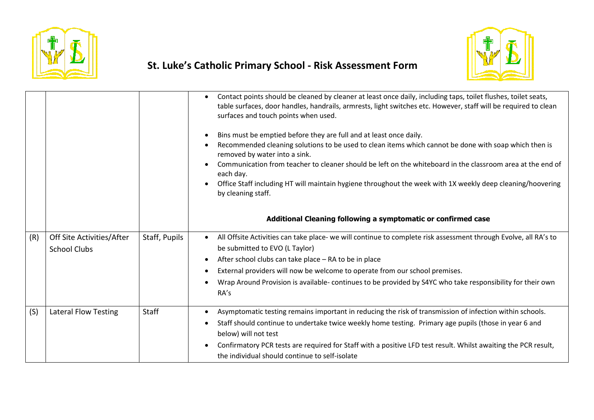



|     |                                                  |               | Contact points should be cleaned by cleaner at least once daily, including taps, toilet flushes, toilet seats,<br>table surfaces, door handles, handrails, armrests, light switches etc. However, staff will be required to clean<br>surfaces and touch points when used.<br>Bins must be emptied before they are full and at least once daily.<br>Recommended cleaning solutions to be used to clean items which cannot be done with soap which then is<br>removed by water into a sink.<br>Communication from teacher to cleaner should be left on the whiteboard in the classroom area at the end of<br>each day.<br>Office Staff including HT will maintain hygiene throughout the week with 1X weekly deep cleaning/hoovering<br>by cleaning staff.<br>Additional Cleaning following a symptomatic or confirmed case |
|-----|--------------------------------------------------|---------------|---------------------------------------------------------------------------------------------------------------------------------------------------------------------------------------------------------------------------------------------------------------------------------------------------------------------------------------------------------------------------------------------------------------------------------------------------------------------------------------------------------------------------------------------------------------------------------------------------------------------------------------------------------------------------------------------------------------------------------------------------------------------------------------------------------------------------|
| (R) | Off Site Activities/After<br><b>School Clubs</b> | Staff, Pupils | All Offsite Activities can take place- we will continue to complete risk assessment through Evolve, all RA's to<br>$\bullet$<br>be submitted to EVO (L Taylor)<br>After school clubs can take place - RA to be in place<br>External providers will now be welcome to operate from our school premises.<br>$\bullet$<br>Wrap Around Provision is available- continues to be provided by S4YC who take responsibility for their own<br>RA's                                                                                                                                                                                                                                                                                                                                                                                 |
| (S) | <b>Lateral Flow Testing</b>                      | <b>Staff</b>  | Asymptomatic testing remains important in reducing the risk of transmission of infection within schools.<br>$\bullet$<br>Staff should continue to undertake twice weekly home testing. Primary age pupils (those in year 6 and<br>below) will not test<br>Confirmatory PCR tests are required for Staff with a positive LFD test result. Whilst awaiting the PCR result,<br>the individual should continue to self-isolate                                                                                                                                                                                                                                                                                                                                                                                                |